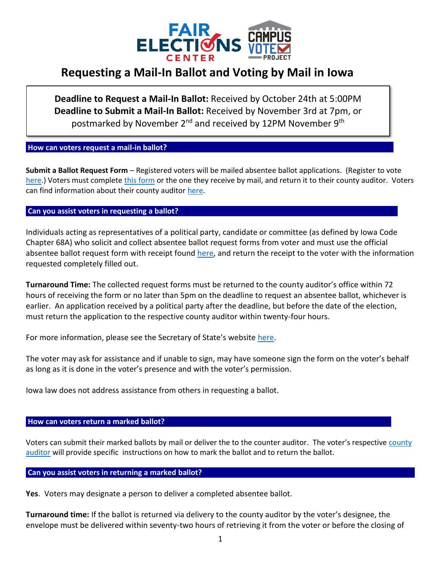

# **Requesting a Mail-In Ballot and Voting by Mail in Iowa**

**Deadline to Request a Mail-In Ballot:** Received by October 24th at 5:00PM **Deadline to Submit a Mail-In Ballot:** Received by November 3rd at 7pm, or postmarked by November 2<sup>nd</sup> and received by 12PM November 9<sup>th</sup>

# **How can voters request a mail-in ballot?............. ..**

**Submit a Ballot Request Form** – Registered voters will be mailed absentee ballot applications. (Register to vote [here.](https://mymvd.iowadot.gov/Account/Login?ReturnUrl=%2FVoterRegistration)) Voters must complete [this form](https://sos.iowa.gov/elections/pdf/absenteeballotapp.pdf) or the one they receive by mail, and return it to their county auditor. Voters can find information about their county auditor [here.](https://sos.iowa.gov/elections/auditors/auditorslist.html)

# **Can you assist voters in requesting a ballot?**

Individuals acting as representatives of a political party, candidate or committee (as defined by Iowa Code Chapter 68A) who solicit and collect absentee ballot request forms from voter and must use the official absentee ballot request form with receipt found [here,](https://sos.iowa.gov/elections/pdf/absenteeballotapprec.pdf) and return the receipt to the voter with the information requested completely filled out.

**Turnaround Time:** The collected request forms must be returned to the county auditor's office within 72 hours of receiving the form or no later than 5pm on the deadline to request an absentee ballot, whichever is earlier. An application received by a political party after the deadline, but before the date of the election, must return the application to the respective county auditor within twenty-four hours.

For more information, please see the Secretary of State's website [here.](https://sos.iowa.gov/elections/candidates/solicitforms.html)

The voter may ask for assistance and if unable to sign, may have someone sign the form on the voter's behalf as long as it is done in the voter's presence and with the voter's permission.

Iowa law does not address assistance from others in requesting a ballot.

### How can voters return a marked ballot?

Voters can submit their marked ballots by mail or deliver the to the counter auditor. The voter's respective [county](https://sos.iowa.gov/elections/auditors/auditorslist.html)  [auditor](https://sos.iowa.gov/elections/auditors/auditorslist.html) will provide specific instructions on how to mark the ballot and to return the ballot.

### **Can you assist voters in returning a marked ballot? .**

**Yes**. Voters may designate a person to deliver a completed absentee ballot.

**Turnaround time:** If the ballot is returned via delivery to the county auditor by the voter's designee, the envelope must be delivered within seventy-two hours of retrieving it from the voter or before the closing of